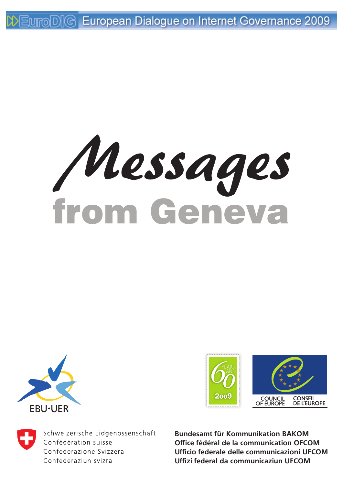from Geneva Messages







Schweizerische Eidgenossenschaft Confédération suisse Confederazione Svizzera Confederaziun svizra

**Bundesamt für Kommunikation BAKOM Office fédéral de la communication OFCOM Ufficio federale delle communicazioni UFCOM Uffizi federal da communicaziun UFCOM**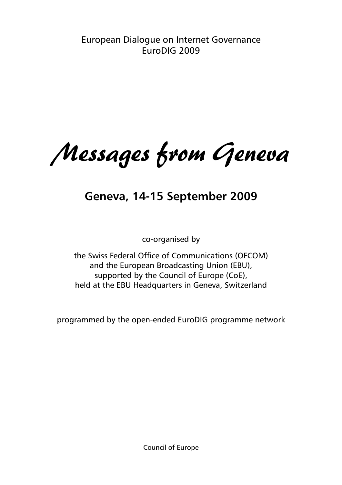European Dialogue on Internet Governance EuroDIG 2009

Messages from Geneva

# **Geneva, 14-15 September 2009**

co-organised by

the Swiss Federal Office of Communications (OFCOM) and the European Broadcasting Union (EBU), supported by the Council of Europe (CoE), held at the EBU Headquarters in Geneva, Switzerland

programmed by the open-ended EuroDIG programme network

Council of Europe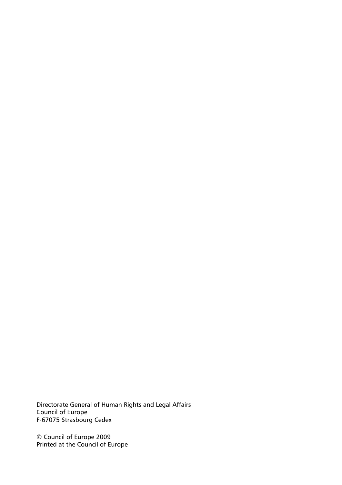Directorate General of Human Rights and Legal Affairs Council of Europe F-67075 Strasbourg Cedex

© Council of Europe 2009 Printed at the Council of Europe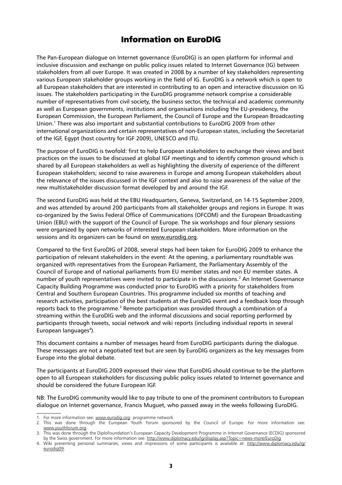### Information on EuroDIG

The Pan-European dialogue on Internet governance (EuroDIG) is an open platform for informal and inclusive discussion and exchange on public policy issues related to Internet Governance (IG) between stakeholders from all over Europe. It was created in 2008 by a number of key stakeholders representing various European stakeholder groups working in the field of IG. EuroDIG is a network which is open to all European stakeholders that are interested in contributing to an open and interactive discussion on IG issues. The stakeholders participating in the EuroDIG programme network comprise a considerable number of representatives from civil society, the business sector, the technical and academic community as well as European governments, institutions and organisations including the EU-presidency, the European Commission, the European Parliament, the Council of Europe and the European Broadcasting Union.<sup>1</sup> There was also important and substantial contributions to EuroDIG 2009 from other international organizations and certain representatives of non-European states, including the Secretariat of the IGF, Egypt (host country for IGF 2009), UNESCO and ITU.

The purpose of EuroDIG is twofold: first to help European stakeholders to exchange their views and best practices on the issues to be discussed at global IGF meetings and to identify common ground which is shared by all European stakeholders as well as highlighting the diversity of experience of the different European stakeholders; second to raise awareness in Europe and among European stakeholders about the relevance of the issues discussed in the IGF context and also to raise awareness of the value of the new multistakeholder discussion format developed by and around the IGF.

The second EuroDIG was held at the EBU Headquarters, Geneva, Switzerland, on 14-15 September 2009, and was attended by around 200 participants from all stakeholder groups and regions in Europe. It was co-organized by the Swiss Federal Office of Communications (OFCOM) and the European Broadcasting Union (EBU) with the support of the Council of Europe. The six workshops and four plenary sessions were organized by open networks of interested European stakeholders. More information on the sessions and its organizers can be found on www.eurodig.org.

Compared to the first EuroDIG of 2008, several steps had been taken for EuroDIG 2009 to enhance the participation of relevant stakeholders in the event: At the opening, a parliamentary roundtable was organized with representatives from the European Parliament, the Parliamentary Assembly of the Council of Europe and of national parliaments from EU member states and non EU member states. A number of youth representatives were invited to participate in the discussions.<sup>2</sup> An Internet Governance Capacity Building Programme was conducted prior to EuroDIG with a priority for stakeholders from Central and Southern European Countries. This programme included six months of teaching and research activities, participation of the best students at the EuroDIG event and a feedback loop through reports back to the programme.<sup>3</sup> Remote participation was provided through a combination of a streaming within the EuroDIG web and the informal discussions and social reporting performed by participants through tweets, social network and wiki reports (including individual reports in several European languages<sup>4</sup>).

This document contains a number of messages heard from EuroDIG participants during the dialogue. These messages are not a negotiated text but are seen by EuroDIG organizers as the key messages from Europe into the global debate.

The participants at EuroDIG 2009 expressed their view that EuroDIG should continue to be the platform open to all European stakeholders for discussing public policy issues related to Internet governance and should be considered the future European IGF.

NB: The EuroDIG community would like to pay tribute to one of the prominent contributors to European dialogue on Internet governance, Francis Muguet, who passed away in the weeks following EuroDIG.

<sup>1.</sup> For more information see: www.eurodig.org: programme network

<sup>2.</sup> This was done through the European Youth Forum sponsored by the Council of Europe. For more information see: www.youthforum.org.

<sup>3.</sup> This was done through the DiploFoundation's European Capacity Development Programme in Internet Governance (ECDIG) sponsored by the Swiss government. For more information see: http://www.diplomacy.edu/ig/display.asp?Topic=news-more/EuroDig

<sup>4.</sup> Wiki presenting personal summaries, views and impressions of some participants is available at: http://www.diplomacy.edu/ig/ eurodig09.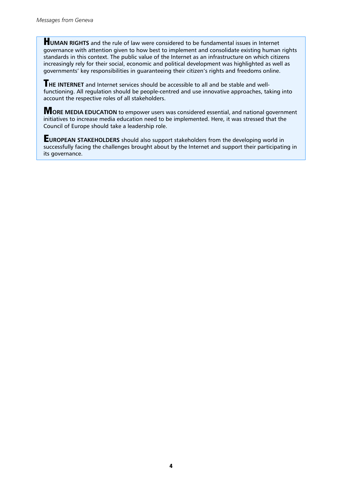**HUMAN RIGHTS** and the rule of law were considered to be fundamental issues in Internet governance with attention given to how best to implement and consolidate existing human rights standards in this context. The public value of the Internet as an infrastructure on which citizens increasingly rely for their social, economic and political development was highlighted as well as governments' key responsibilities in guaranteeing their citizen's rights and freedoms online.

T**HE INTERNET** and Internet services should be accessible to all and be stable and wellfunctioning. All regulation should be people-centred and use innovative approaches, taking into account the respective roles of all stakeholders.

M**ORE MEDIA EDUCATION** to empower users was considered essential, and national government initiatives to increase media education need to be implemented. Here, it was stressed that the Council of Europe should take a leadership role.

E**UROPEAN STAKEHOLDERS** should also support stakeholders from the developing world in successfully facing the challenges brought about by the Internet and support their participating in its governance.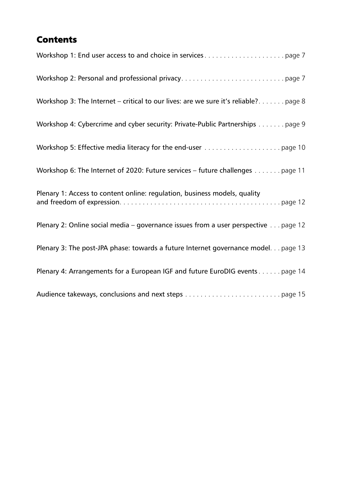# **Contents**

| Workshop 3: The Internet – critical to our lives: are we sure it's reliable? page 8 |
|-------------------------------------------------------------------------------------|
| Workshop 4: Cybercrime and cyber security: Private-Public Partnerships page 9       |
|                                                                                     |
| Workshop 6: The Internet of 2020: Future services - future challenges page 11       |
| Plenary 1: Access to content online: regulation, business models, quality           |
| Plenary 2: Online social media - governance issues from a user perspective page 12  |
| Plenary 3: The post-JPA phase: towards a future Internet governance model. page 13  |
| Plenary 4: Arrangements for a European IGF and future EuroDIG events page 14        |
|                                                                                     |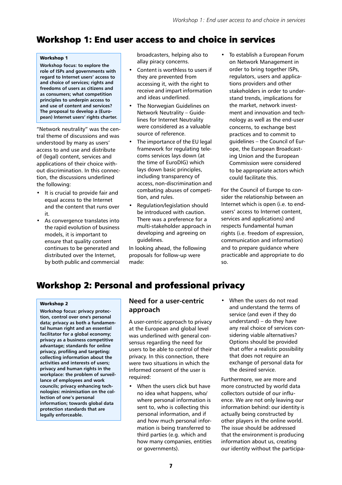# Workshop 1: End user access to and choice in services

#### Workshop 1

**Workshop focus: to explore the role of ISPs and governments with regard to Internet users' access to and choice of services; rights and freedoms of users as citizens and as consumers; what competition principles to underpin access to and use of content and services? The proposal to develop a (European) Internet users' rights charter.**

<span id="page-6-0"></span>"Network neutrality" was the central theme of discussions and was understood by many as users' access to and use and distribute of (legal) content, services and applications of their choice without discrimination. In this connection, the discussions underlined the following:

- It is crucial to provide fair and equal access to the Internet and the content that runs over it.
- As convergence translates into the rapid evolution of business models, it is important to ensure that quality content continues to be generated and distributed over the Internet, by both public and commercial

broadcasters, helping also to allay piracy concerns.

- Content is worthless to users if they are prevented from accessing it, with the right to receive and impart information and ideas underlined.
- The Norwegian Guidelines on Network Neutrality – Guidelines for Internet Neutrality were considered as a valuable source of reference.
- The importance of the EU legal framework for regulating telecoms services lays down (at the time of EuroDIG) which lays down basic principles, including transparency of access, non-discrimination and combating abuses of competition, and rules.
- Regulation/legislation should be introduced with caution. There was a preference for a multi-stakeholder approach in developing and agreeing on guidelines.

In looking ahead, the following proposals for follow-up were made:

To establish a European Forum on Network Management in order to bring together ISPs, regulators, users and applications providers and other stakeholders in order to understand trends, implications for the market, network investment and innovation and technology as well as the end-user concerns, to exchange best practices and to commit to guidelines – the Council of Europe, the European Broadcasting Union and the European Commission were considered to be appropriate actors which could facilitate this.

For the Council of Europe to consider the relationship between an Internet which is open (i.e. to endusers' access to Internet content, services and applications) and respects fundamental human rights (i.e. freedom of expression, communication and information) and to prepare guidance where practicable and appropriate to do so.

# Workshop 2: Personal and professional privacy

### Workshop 2

<span id="page-6-1"></span>**Workshop focus: privacy protection, control over one's personal data; privacy as both a fundamental human right and an essential facilitator for a global economy; privacy as a business competitive advantage; standards for online privacy, profiling and targeting: collecting information about the activities and interests of users; privacy and human rights in the workplace: the problem of surveillance of employees and work councils; privacy enhancing technologies: minimisation on the collection of one's personal information; towards global data protection standards that are legally enforceable.**

### **Need for a user-centric approach**

A user-centric approach to privacy at the European and global level was underlined with general consensus regarding the need for users to be able to control of their privacy. In this connection, there were two situations in which the informed consent of the user is required:

- When the users click but have no idea what happens, who/ where personal information is sent to, who is collecting this personal information, and if and how much personal information is being transferred to third parties (e.g. which and how many companies, entities or governments).
- When the users do not read and understand the terms of service (and even if they do understand) – do they have any real choice of services considering viable alternatives? Options should be provided that offer a realistic possibility that does not require an exchange of personal data for the desired service.

Furthermore, we are more and more constructed by world data collectors outside of our influence. We are not only leaving our information behind: our identity is actually being constructed by other players in the online world. The issue should be addressed that the environment is producing information about us, creating our identity without the participa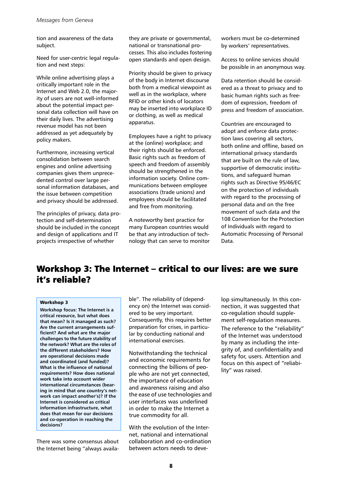tion and awareness of the data subject.

Need for user-centric legal regulation and next steps:

While online advertising plays a critically important role in the Internet and Web 2.0, the majority of users are not well-informed about the potential impact personal data collection will have on their daily lives. The advertising revenue model has not been addressed as yet adequately by policy makers.

Furthermore, increasing vertical consolidation between search engines and online advertising companies gives them unprecedented control over large personal information databases, and the issue between competition and privacy should be addressed.

The principles of privacy, data protection and self-determination should be included in the concept and design of applications and IT projects irrespective of whether

they are private or governmental, national or transnational processes. This also includes fostering open standards and open design.

Priority should be given to privacy of the body in Internet discourse both from a medical viewpoint as well as in the workplace, where RFID or other kinds of locators may be inserted into workplace ID or clothing, as well as medical apparatus.

Employees have a right to privacy at the (online) workplace; and their rights should be enforced. Basic rights such as freedom of speech and freedom of assembly should be strengthened in the information society. Online communications between employee associations (trade unions) and employees should be facilitated and free from monitoring.

A noteworthy best practice for many European countries would be that any introduction of technology that can serve to monitor workers must be co-determined by workers' representatives.

Access to online services should be possible in an anonymous way.

Data retention should be considered as a threat to privacy and to basic human rights such as freedom of expression, freedom of press and freedom of association.

Countries are encouraged to adopt and enforce data protection laws covering all sectors, both online and offline, based on international privacy standards that are built on the rule of law, supportive of democratic institutions, and safeguard human rights such as Directive 95/46/EC on the protection of individuals with regard to the processing of personal data and on the free movement of such data and the 108 Convention for the Protection of Individuals with regard to Automatic Processing of Personal Data.

## Workshop 3: The Internet – critical to our lives: are we sure it's reliable?

### Workshop 3

<span id="page-7-0"></span>**Workshop focus: The Internet is a critical resource, but what does that mean? Is it managed as such? Are the current arrangements sufficient? And what are the major challenges to the future stability of the network? What are the roles of the different stakeholders? How are operational decisions made and coordinated (and funded)? What is the influence of national requirements? How does national work take into account wider international circumstances (bearing in mind that one country's network can impact another's)? If the Internet is considered as critical information infrastructure, what does that mean for our decisions and co-operation in reaching the decisions?**

There was some consensus about the Internet being "always available". The reliability of (dependency on) the Internet was considered to be very important. Consequently, this requires better preparation for crises, in particular by conducting national and international exercises.

Notwithstanding the technical and economic requirements for connecting the billions of people who are not yet connected, the importance of education and awareness raising and also the ease of use technologies and user interfaces was underlined in order to make the Internet a true commodity for all.

With the evolution of the Internet, national and international collaboration and co-ordination between actors needs to develop simultaneously. In this connection, it was suggested that co-regulation should supplement self-regulation measures.

The reference to the "reliability" of the Internet was understood by many as including the integrity of, and confidentiality and safety for, users. Attention and focus on this aspect of "reliability" was raised.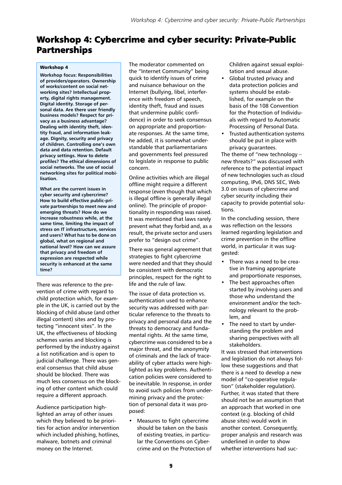## Workshop 4: Cybercrime and cyber security: Private-Public Partnerships

#### Workshop 4

<span id="page-8-0"></span>**Workshop focus: Responsibilities of providers/operators. Ownership of works/content on social networking sites? Intellectual property, digital rights management. Digital identity. Storage of personal data. Are there user friendly business models? Respect for privacy as a business advantage? Dealing with identity theft, identity fraud, and information leakage. Dignity, security and privacy of children. Controlling one's own data and data retention. Default privacy settings. How to delete profiles? The ethical dimensions of social networks. The use of social networking sites for political mobilisation.**

**What are the current issues in cyber security and cybercrime? How to build effective public-private partnerships to meet new and emerging threats? How do we increase robustness while, at the same time, limiting the impact of stress on IT infrastructure, services and users? What has to be done on global, what on regional and national level? How can we assure that privacy and freedom of expression are respected while security is enhanced at the same time?**

There was reference to the prevention of crime with regard to child protection which, for example in the UK, is carried out by the blocking of child abuse (and other illegal content) sites and by protecting "innocent sites". In the UK, the effectiveness of blocking schemes varies and blocking is performed by the industry against a list notification and is open to judicial challenge. There was general consensus that child abuse should be blocked. There was much less consensus on the blocking of other content which could require a different approach.

Audience participation highlighted an array of other issues which they believed to be priorities for action and/or intervention which included phishing, hotlines, malware, botnets and criminal money on the Internet.

The moderator commented on the "Internet Community" being quick to identify issues of crime and nuisance behaviour on the Internet (bullying, libel, interference with freedom of speech, identity theft, fraud and issues that undermine public confidence) in order to seek consensus on appropriate and proportionate responses. At the same time, he added, it is somewhat understandable that parliamentarians and governments feel pressured to legislate in response to public concern.

Online activities which are illegal offline might require a different response (even though that which is illegal offline is generally illegal online). The principle of proportionality in responding was raised. It was mentioned that laws rarely prevent what they forbid and, as a result, the private sector and users prefer to "design out crime".

There was general agreement that strategies to fight cybercrime were needed and that they should be consistent with democratic principles, respect for the right to life and the rule of law.

The issue of data protection vs. authentication used to enhance security was addressed with particular reference to the threats to privacy and personal data and the threats to democracy and fundamental rights. At the same time, cybercrime was considered to be a major threat, and the anonymity of criminals and the lack of traceability of cyber attacks were highlighted as key problems. Authentication policies were considered to be inevitable. In response, in order to avoid such policies from undermining privacy and the protection of personal data it was proposed:

• Measures to fight cybercrime should be taken on the basis of existing treaties, in particular the Conventions on Cybercrime and on the Protection of Children against sexual exploitation and sexual abuse.

- Global trusted privacy and data protection policies and systems should be established, for example on the basis of the 108 Convention for the Protection of Individuals with regard to Automatic Processing of Personal Data.
- Trusted authentication systems should be put in place with privacy guarantees.

The theme of "new technology – new threats?" was discussed with reference to the potential impact of new technologies such as cloud computing, IPv6, DNS SEC, Web 3.0 on issues of cybercrime and cyber security including their capacity to provide potential solutions.

In the concluding session, there was reflection on the lessons learned regarding legislation and crime prevention in the offline world, in particular it was suggested:

- There was a need to be creative in framing appropriate and proportionate responses,
- The best approaches often started by involving users and those who understand the environment and/or the technology relevant to the problem, and
- The need to start by understanding the problem and sharing perspectives with all stakeholders.

It was stressed that interventions and legislation do not always follow these suggestions and that there is a need to develop a new model of "co-operative regulation" (stakeholder regulation). Further, it was stated that there should not be an assumption that an approach that worked in one context (e.g. blocking of child abuse sites) would work in another context. Consequently, proper analysis and research was underlined in order to show whether interventions had suc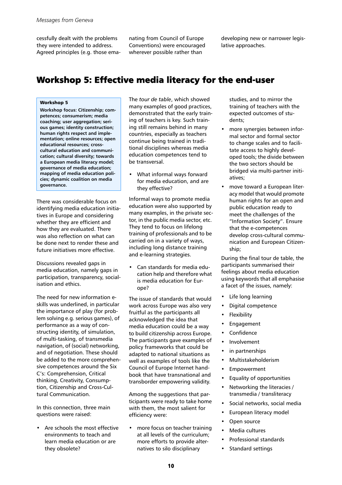cessfully dealt with the problems they were intended to address. Agreed principles (e.g. those emanating from Council of Europe Conventions) were encouraged wherever possible rather than

developing new or narrower legislative approaches.

## Workshop 5: Effective media literacy for the end-user

#### Workshop 5

**Workshop focus: Citizenship; competences; consumerism; media coaching; user aggregation; serious games; identity construction; human rights respect and implementation; online resources; open educational resources; crosscultural education and communication; cultural diversity; towards a European media literacy model; governance of media education; mapping of media education policies; dynamic coalition on media governance.**

<span id="page-9-0"></span>There was considerable focus on identifying media education initiatives in Europe and considering whether they are efficient and how they are evaluated. There was also reflection on what can be done next to render these and future initiatives more effective.

Discussions revealed gaps in media education, namely gaps in participation, transparency, socialisation and ethics.

The need for new information eskills was underlined, in particular the importance of play (for problem solving e.g. serious games), of performance as a way of constructing identity, of simulation, of multi-tasking, of transmedia navigation, of (social) networking, and of negotiation. These should be added to the more comprehensive competences around the Six C's: Comprehension, Critical thinking, Creativity, Consumption, Citizenship and Cross-Cultural Communication.

In this connection, three main questions were raised:

• Are schools the most effective environments to teach and learn media education or are they obsolete?

The *tour de table*, which showed many examples of good practices, demonstrated that the early training of teachers is key. Such training still remains behind in many countries, especially as teachers continue being trained in traditional disciplines whereas media education competences tend to be transversal.

• What informal ways forward for media education, and are they effective?

Informal ways to promote media education were also supported by many examples, in the private sector, in the public media sector, etc. They tend to focus on lifelong training of professionals and to be carried on in a variety of ways, including long distance training and e-learning strategies.

• Can standards for media education help and therefore what is media education for Europe?

The issue of standards that would work across Europe was also very fruitful as the participants all acknowledged the idea that media education could be a way to build citizenship across Europe. The participants gave examples of policy frameworks that could be adapted to national situations as well as examples of tools like the Council of Europe Internet handbook that have transnational and transborder empowering validity.

Among the suggestions that participants were ready to take home with them, the most salient for efficiency were:

• more focus on teacher training at all levels of the curriculum; more efforts to provide alternatives to silo disciplinary

studies, and to mirror the training of teachers with the expected outcomes of students;

- more synergies between informal sector and formal sector to change scales and to facilitate access to highly developed tools; the divide between the two sectors should be bridged via multi-partner initiatives;
- move toward a European literacy model that would promote human rights for an open and public education ready to meet the challenges of the "Information Society". Ensure that the e-competences develop cross-cultural communication and European Citizenship;

During the final tour de table, the participants summarised their feelings about media education using keywords that all emphasise a facet of the issues, namely:

- Life long learning
- Digital competence
- **Flexibility**
- **Engagement**
- Confidence
- Involvement
- in partnerships
- Multistakeholderism
- **Empowerment**
- Equality of opportunities
- Networking the literacies / transmedia / transliteracy
- Social networks, social media
- European literacy model
- Open source
- Media cultures
- Professional standards
- Standard settings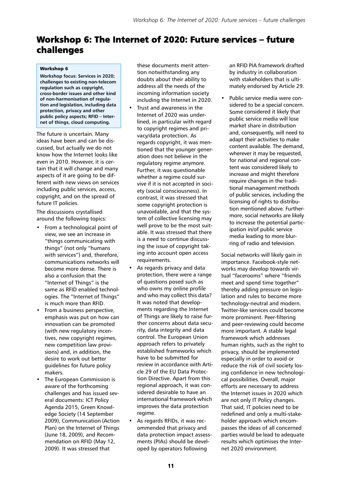## Workshop 6: The Internet of 2020: Future services – future challenges

#### Workshop 6

**Workshop focus: Services in 2020; challenges to existing non-telecom regulation such as copyright, cross-border issues and other kind of non-harmonisation of regulation and legislation, including data protection, privacy and other public policy aspects; RFID – Internet of things, cloud computing.**

The future is uncertain. Many ideas have been and can be discussed, but actually we do not know how the Internet looks like even in 2010. However, it is certain that it will change and many aspects of it are going to be different with new views on services including public services, access, copyright, and on the spread of future IT policies.

<span id="page-10-0"></span>The discussions crystallised around the following topics:

- From a technological point of view, we see an increase in "things communicating with things" (not only "humans with services") and, therefore, communications networks will become more dense. There is also a confusion that the "Internet of Things" is the same as RFID enabled technologies. The "Internet of Things" is much more than RFID.
- From a business perspective, emphasis was put on how can innovation can be promoted (with new regulatory incentives, new copyright regimes, new competition law provisions) and, in addition, the desire to work out better guidelines for future policy makers.
- The European Commission is aware of the forthcoming challenges and has issued several documents: ICT Policy Agenda 2015, Green Knowledge Society (14 September 2009), Communication (Action Plan) on the Internet of Things (June 18, 2009), and Recommendation on RFID (May 12, 2009). It was stressed that

these documents merit attention notwithstanding any doubts about their ability to address all the needs of the incoming information society including the Internet in 2020.

- Trust and awareness in the Internet of 2020 was underlined, in particular with regard to copyright regimes and privacy/data protection. As regards copyright, it was mentioned that the younger generation does not believe in the regulatory regime anymore. Further, it was questionable whether a regime could survive if it is not accepted in society (social consciousness). In contrast, it was stressed that some copyright protection is unavoidable, and that the system of collective licensing may well prove to be the most suitable. It was stressed that there is a need to continue discussing the issue of copyright taking into account open access requirements.
- As regards privacy and data protection, there were a range of questions posed such as who owns my online profile and who may collect this data? It was noted that developments regarding the Internet of Things are likely to raise further concerns about data security, data integrity and data control. The European Union approach refers to privately established frameworks which have to be submitted for review in accordance with Article 29 of the EU Data Protection Directive. Apart from this regional approach, it was considered desirable to have an international framework which improves the data protection regime.
- As regards RFIDs, it was recommended that privacy and data protection impact assessments (PIAs) should be developed by operators following

an RFID PIA framework drafted by industry in collaboration with stakeholders that is ultimately endorsed by Article 29.

• Public service media were considered to be a special concern. Some considered it likely that public service media will lose market share in distribution and, consequently, will need to adapt their activities to make content available. The demand, wherever it may be requested, for national and regional content was considered likely to increase and might therefore require changes in the traditional management methods of public services, including the licensing of rights to distribution mentioned above. Furthermore, social networks are likely to increase the potential participation in/of public service media leading to more blurring of radio and television.

Social networks will likely gain in importance. Facebook-style networks may develop towards virtual "facerooms" where "friends meet and spend time together" thereby adding pressure on legislation and rules to become more technology-neutral and modern. Twitter-like services could become more prominent. Peer-filtering and peer-reviewing could become more important. A stable legal framework which addresses human rights, such as the right to privacy, should be implemented especially in order to avoid or reduce the risk of civil society losing confidence in new technological possibilities. Overall, major efforts are necessary to address the Internet issues in 2020 which are not only IT Policy changes. That said, IT policies need to be redefined and only a multi-stakeholder approach which encompasses the ideas of all concerned parties would be lead to adequate results which optimises the Internet 2020 environment.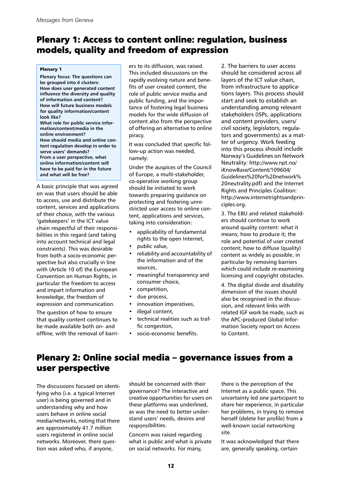### Plenary 1: Access to content online: regulation, business models, quality and freedom of expression

#### Plenary 1

**Plenary focus: The questions can be grouped into 4 clusters: How does user generated content influence the diversity and quality of information and content? How will future business models for quality information/content look like? What role for public service information/content/media in the online environment? How should media and online content regulation develop in order to serve users' demands? From a user perspective, what online information/content will have to be paid for in the future and what will be free?**

A basic principle that was agreed on was that users should be able to access, use and distribute the content, services and applications of their choice, with the various 'gatekeepers' in the ICT value chain respectful of their responsibilities in this regard (and taking into account technical and legal constraints). This was desirable from both a socio-economic perspective but also crucially in line with (Article 10 of) the European Convention on Human Rights, in particular the freedom to access and impart information and knowledge, the freedom of expression and communication.

<span id="page-11-0"></span>The question of how to ensure that quality content continues to be made available both on- and offline, with the removal of barriers to its diffusion, was raised. This included discussions on the rapidly evolving nature and benefits of user created content, the role of public service media and public funding, and the importance of fostering legal business models for the wide diffusion of content also from the perspective of offering an alternative to online piracy.

It was concluded that specific follow-up action was needed, namely:

Under the auspices of the Council of Europe, a multi-stakeholder, co-operative working group should be initiated to work towards preparing guidance on protecting and fostering unrestricted user access to online content, applications and services, taking into consideration:

- applicability of fundamental rights to the open Internet,
- public value,
- reliability and accountability of the information and of the sources,
- meaningful transparency and consumer choice,
- competition,
- due process,
- innovation imperatives,
- illegal content,
- technical realities such as traffic congestion,
- socio-economic benefits.

2. The barriers to user access should be considered across all layers of the ICT value chain, from infrastructure to applications layers. This process should start and seek to establish an understanding among relevant stakeholders (ISPs, applications and content providers, users/ civil society, legislators, regulators and governments) as a matter of urgency. Work feeding into this process should include Norway's Guidelines on Network Neutrality: http://www.npt.no/ iKnowBase/Content/109604/ Guidelines%20for%20network% 20neutrality.pdf) and the Internet Rights and Principles Coalition: http://www.internetrightsandprinciples.org.

3. The EBU and related stakeholders should continue to work around quality content: what it means; how to produce it; the role and potential of user created content; how to diffuse (quality) content as widely as possible, in particular by removing barriers which could include re-examining licensing and copyright obstacles.

4. The digital divide and disability dimension of the issues should also be recognised in the discussion, and relevant links with related IGF work be made, such as the APC-produced Global Information Society report on Access to Content.

## Plenary 2: Online social media – governance issues from a user perspective

The discussions focused on identifying who (i.e. a typical Internet user) is being governed and in understanding why and how users behave in online social [media/networks, noting that there](http://www.npt.no/iKnowBase/Content/109604/Guidelines for network neutrality.pdf)  are approximately 41.7 million users registered in online social networks. Moreover, there question was asked who, if anyone,

should be concerned with their governance? The interactive and [creative opportunities for users on](http://www.npt.no/iKnowBase/Content/109604/Guidelines for network neutrality.pdf)  these platforms was underlined, as was the need to better understand users' needs, desires and responsibilities.

Concern was raised regarding what is public and what is private on social networks. For many,

there is the perception of the Internet as a public space. This [uncertainty led one participant to](http://www.npt.no/iKnowBase/Content/109604/Guidelines for network neutrality.pdf)  share her experience, in particular her problems, in trying to remove [herself \(delete her profile\) from a](http://www.internetrightsandprinciples.org)  well-known social networking site.

It was acknowledged that there [are, generally speaking, certain](http://www.internetrightsandprinciples.org)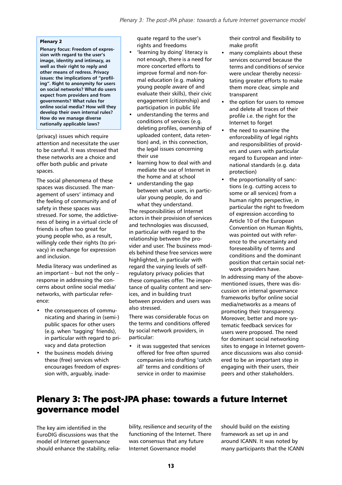### Plenary 2

**Plenary focus: Freedom of expression with regard to the user's image, identity and intimacy, as well as their right to reply and other means of redress. Privacy issues: the implications of "profil[ing". Right to anonymity for users](http://www.internetrightsandprinciples.org)  on social networks? What do users expect from providers and from governments? What rules for online social media? How will they develop their own internal rules? How do we manage diverse nationally applicable laws?**

(privacy) issues which require attention and necessitate the user to be careful. It was stressed that these networks are a choice and offer both public and private spaces.

The social phenomena of these spaces was discussed. The management of users' intimacy and the feeling of community and of safety in these spaces was stressed. For some, the addictiveness of being in a virtual circle of friends is often too great for young people who, as a result, willingly cede their rights (to privacy) in exchange for expression and inclusion.

<span id="page-12-0"></span>Media literacy was underlined as an important  $-$  but not the only  $$ response in addressing the concerns about online social media/ networks, with particular reference:

- the consequences of communicating and sharing in (semi-) public spaces for other users (e.g. when 'tagging' friends), in particular with regard to privacy and data protection
- the business models driving these (free) services which encourages freedom of expression with, arguably, inade-

quate regard to the user's rights and freedoms

- 'learning by doing' literacy is not enough, there is a need for more concerted efforts to improve formal and non-formal education (e.g. making young people aware of and evaluate their skills), their civic engagement (citizenship) and participation in public life
- understanding the terms and conditions of services (e.g. deleting profiles, ownership of uploaded content, data retention) and, in this connection, the legal issues concerning their use
- learning how to deal with and mediate the use of Internet in the home and at school
- understanding the gap between what users, in particular young people, do and what they understand.

The responsibilities of Internet actors in their provision of services and technologies was discussed, in particular with regard to the relationship between the provider and user. The business models behind these free services were highlighted, in particular with regard the varying levels of selfregulatory privacy policies that these companies offer. The importance of quality content and services, and in building trust between providers and users was also stressed.

There was considerable focus on the terms and conditions offered by social network providers, in particular:

it was suggested that services offered for free often spurred companies into drafting 'catch all' terms and conditions of service in order to maximise

their control and flexibility to make profit

- many complaints about these services occurred because the terms and conditions of service were unclear thereby necessitating greater efforts to make them more clear, simple and transparent
- the option for users to remove and delete all traces of their profile i.e. the right for the Internet to forget
- the need to examine the enforceability of legal rights and responsibilities of providers and users with particular regard to European and international standards (e.g. data protection)
- the proportionality of sanctions (e.g. cutting access to some or all services) from a human rights perspective, in particular the right to freedom of expression according to Article 10 of the European Convention on Human Rights, was pointed out with reference to the uncertainty and foreseeability of terms and conditions and the dominant position that certain social network providers have.

In addressing many of the abovementioned issues, there was discussion on internal governance frameworks by/for online social media/networks as a means of promoting their transparency. Moreover, better and more systematic feedback services for users were proposed. The need for dominant social networking sites to engage in Internet governance discussions was also considered to be an important step in engaging with their users, their peers and other stakeholders.

## Plenary 3: The post-JPA phase: towards a future Internet governance model

The key aim identified in the EuroDIG discussions was that the model of Internet governance should enhance the stability, reliability, resilience and security of the functioning of the Internet. There was consensus that any future Internet Governance model

should build on the existing framework as set up in and around ICANN. It was noted by many participants that the ICANN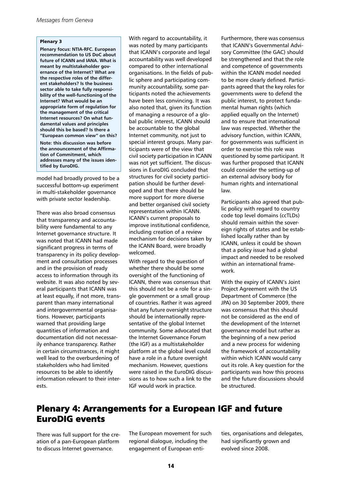#### Plenary 3

**Plenary focus: NTIA-RFC. European recommendation to US DoC about future of ICANN and IANA. What is meant by multistakeholder governance of the Internet? What are the respective roles of the different stakeholders? Is the business sector able to take fully responsibility of the well-functioning of the Internet? What would be an appropriate form of regulation for the management of the critical Internet resources? On what fundamental values and principles should this be based? Is there a "European common view" on this? Note: this discussion was before the announcement of the Affirmation of Commitment, which addresses many of the issues identified by EuroDIG.**

model had broadly proved to be a successful bottom-up experiment in multi-stakeholder governance with private sector leadership.

<span id="page-13-0"></span>There was also broad consensus that transparency and accountability were fundamental to any Internet governance structure. It was noted that ICANN had made significant progress in terms of transparency in its policy development and consultation processes and in the provision of ready access to information through its website. It was also noted by several participants that ICANN was at least equally, if not more, transparent than many international and intergovernmental organisations. However, participants warned that providing large quantities of information and documentation did not necessarily enhance transparency. Rather in certain circumstrances, it might well lead to the overburdening of stakeholders who had limited resources to be able to identify information relevant to their interests.

With regard to accountability, it was noted by many participants that ICANN's corporate and legal accountability was well developed compared to other international organisations. In the fields of public sphere and participating community accountability, some participants noted the achievements have been less convincing. It was also noted that, given its function of managing a resource of a global public interest, ICANN should be accountable to the global Internet community, not just to special interest groups. Many participants were of the view that civil society participation in ICANN was not yet sufficient. The discussions in EuroDIG concluded that structures for civil society participation should be further developed and that there should be more support for more diverse and better organised civil society representation within ICANN. ICANN's current proposals to improve institutional confidence, including creation of a review mechanism for decisions taken by the ICANN Board, were broadly welcomed.

With regard to the question of whether there should be some oversight of the functioning of ICANN, there was consensus that this should not be a role for a single government or a small group of countries. Rather it was agreed that any future oversight structure should be internationally representative of the global Internet community. Some advocated that the Internet Governance Forum (the IGF) as a multistakeholder platform at the global level could have a role in a future oversight mechanism. However, questions were raised in the EuroDIG discussions as to how such a link to the IGF would work in practice.

Furthermore, there was consensus that ICANN's Governmental Advisory Committee (the GAC) should be strengthened and that the role and competence of governments within the ICANN model needed to be more clearly defined. Participants agreed that the key roles for governments were to defend the public interest, to protect fundamental human rights (which applied equally on the Internet) and to ensure that international law was respected. Whether the advisory function, within ICANN, for governments was sufficient in order to exercise this role was questioned by some participant. It was further proposed that ICANN could consider the setting-up of an external advisory body for human rights and international law.

Participants also agreed that public policy with regard to country code top level domains (ccTLDs) should remain within the sovereign rights of states and be established locally rather than by ICANN, unless it could be shown that a policy issue had a global impact and needed to be resolved within an international framework.

With the expiry of ICANN's Joint Project Agreement with the US Department of Commerce (the JPA) on 30 September 2009, there was consensus that this should not be considered as the end of the development of the Internet governance model but rather as the beginning of a new period and a new process for widening the framework of accountability within which ICANN would carry out its role. A key question for the participants was how this process and the future discussions should be structured.

### Plenary 4: Arrangements for a European IGF and future EuroDIG events

There was full support for the creation of a pan-European platform to discuss Internet governance.

The European movement for such regional dialogue, including the engagement of European entities, organisations and delegates, had significantly grown and evolved since 2008.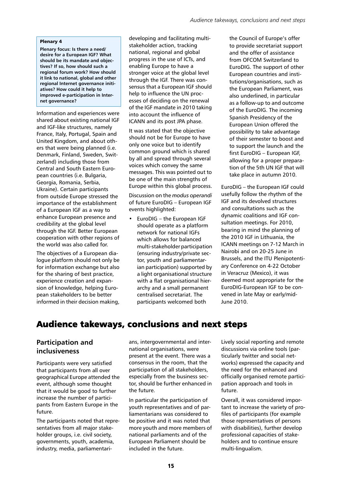#### Plenary 4

**Plenary focus: Is there a need/ desire for a European IGF? What should be its mandate and objectives? If so, how should such a regional forum work? How should it link to national, global and other regional Internet governance initiatives? How could it help to improved e-participation in Internet governance?**

Information and experiences were shared about existing national IGF and IGF-like structures, namely France, Italy, Portugal, Spain and United Kingdom, and about others that were being planned (i.e. Denmark, Finland, Sweden, Switzerland) including those from Central and South Eastern European countries (i.e. Bulgaria, Georgia, Romania, Serbia, Ukraine). Certain participants from outside Europe stressed the importance of the establishment of a European IGF as a way to enhance European presence and credibility at the global level through the IGF. Better European cooperation with other regions of the world was also called for.

The objectives of a European dialogue platform should not only be for information exchange but also for the sharing of best practice, experience creation and expansion of knowledge, helping European stakeholders to be better informed in their decision making, developing and facilitating multistakeholder action, tracking national, regional and global progress in the use of ICTs, and enabling Europe to have a stronger voice at the global level through the IGF. There was consensus that a European IGF should help to influence the UN processes of deciding on the renewal of the IGF mandate in 2010 taking into account the influence of ICANN and its post JPA phase.

It was stated that the objective should not be for Europe to have only one voice but to identify common ground which is shared by all and spread through several voices which convey the same messages. This was pointed out to be one of the main strengths of Europe within this global process.

Discussion on the *modus operandi* of future EuroDIG – European IGF events highlighted:

• EuroDIG – the European IGF should operate as a platform network for national IGFs which allows for balanced multi-stakeholder participation (ensuring industry/private sector, youth and parliamentarian participation) supported by a light organisational structure with a flat organisational hierarchy and a small permanent centralised secretariat. The participants welcomed both

the Council of Europe's offer to provide secretariat support and the offer of assistance from OFCOM Switzerland to EuroDIG. The support of other European countries and institutions/organisations, such as the European Parliament, was also underlined, in particular as a follow-up to and outcome of the EuroDIG. The incoming Spanish Presidency of the European Union offered the possibility to take advantage of their semester to boost and to support the launch and the first EuroDIG – European IGF, allowing for a proper preparation of the 5th UN IGF that will take place in autumn 2010.

EuroDIG – the European IGF could usefully follow the rhythm of the IGF and its devolved structures and consultations such as the dynamic coalitions and IGF consultation meetings. For 2010, bearing in mind the planning of the 2010 IGF in Lithuania, the ICANN meetings on 7-12 March in Nairobi and on 20-25 June in Brussels, and the ITU Plenipotentiary Conference on 4-22 October in Veracruz (Mexico), it was deemed most appropriate for the EuroDIG-European IGF to be convened in late May or early/mid-June 2010.

# Audience takeways, conclusions and next steps

### <span id="page-14-0"></span>**Participation and inclusiveness**

Participants were very satisfied that participants from all over geographical Europe attended the event, although some thought that it would be good to further increase the number of participants from Eastern Europe in the future.

The participants noted that representatives from all major stakeholder groups, i.e. civil society, governments, youth, academia, industry, media, parliamentarians, intergovernmental and international organisations, were present at the event. There was a consensus in the room, that the participation of all stakeholders, especially from the business sector, should be further enhanced in the future.

In particular the participation of youth representatives and of parliamentarians was considered to be positive and it was noted that more youth and more members of national parliaments and of the European Parliament should be included in the future.

Lively social reporting and remote discussions via online tools (particularly twitter and social networks) expressed the capacity and the need for the enhanced and officially organised remote participation approach and tools in future.

Overall, it was considered important to increase the variety of profiles of participants (for example those representatives of persons with disabilities), further develop professional capacities of stakeholders and to continue ensure multi-lingualism.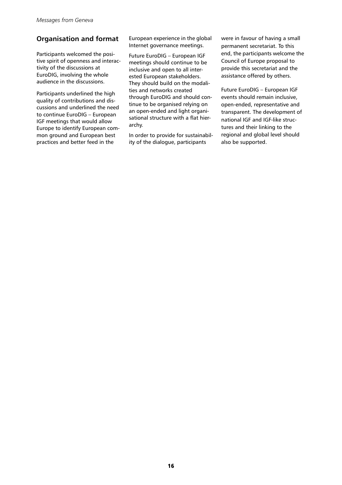### **Organisation and format**

Participants welcomed the positive spirit of openness and interactivity of the discussions at EuroDIG, involving the whole audience in the discussions.

Participants underlined the high quality of contributions and discussions and underlined the need to continue EuroDIG – European IGF meetings that would allow Europe to identify European common ground and European best practices and better feed in the

European experience in the global Internet governance meetings.

Future EuroDIG – European IGF meetings should continue to be inclusive and open to all interested European stakeholders. They should build on the modalities and networks created through EuroDIG and should continue to be organised relying on an open-ended and light organisational structure with a flat hierarchy.

<span id="page-15-0"></span>In order to provide for sustainability of the dialogue, participants

were in favour of having a small permanent secretariat. To this end, the participants welcome the Council of Europe proposal to provide this secretariat and the assistance offered by others.

Future EuroDIG – European IGF events should remain inclusive, open-ended, representative and transparent. The development of national IGF and IGF-like structures and their linking to the regional and global level should also be supported.